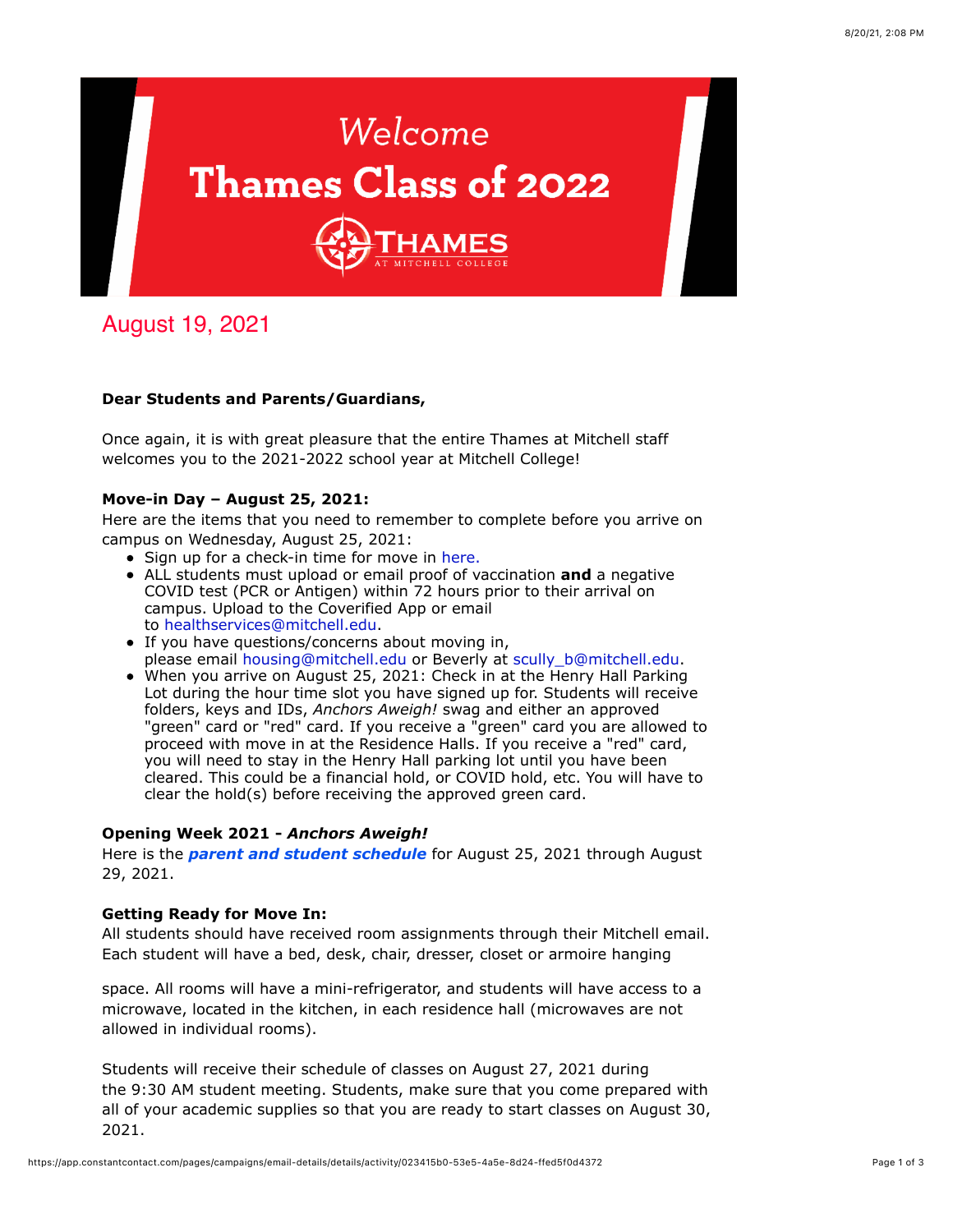

August 19, 2021

## **Dear Students and Parents/Guardians,**

Once again, it is with great pleasure that the entire Thames at Mitchell staff welcomes you to the 2021-2022 school year at Mitchell College!

## **Move-in Day – August 25, 2021:**

Here are the items that you need to remember to complete before you arrive on campus on Wednesday, August 25, 2021:

- Sign up for a check-in time for move in [here.](https://www.signupgenius.com/go/newstudents21)
- ALL students must upload or email proof of vaccination **and** a negative COVID test (PCR or Antigen) within 72 hours prior to their arrival on campus. Upload to the Coverified App or email to [healthservices@mitchell.edu](mailto:healthservices@mitchell.edu).
- If you have questions/concerns about moving in, please email [housing@mitchell.edu](mailto:housing@mitchell.edu) or Beverly at [scully\\_b@mitchell.edu.](mailto:scully_b@mitchell.edu)
- When you arrive on August 25, 2021: Check in at the Henry Hall Parking Lot during the hour time slot you have signed up for. Students will receive folders, keys and IDs, *Anchors Aweigh!* swag and either an approved "green" card or "red" card. If you receive a "green" card you are allowed to proceed with move in at the Residence Halls. If you receive a "red" card, you will need to stay in the Henry Hall parking lot until you have been cleared. This could be a financial hold, or COVID hold, etc. You will have to clear the hold(s) before receiving the approved green card.

## **Opening Week 2021 -** *Anchors Aweigh!*

Here is the *[parent and student schedule](https://mitchell.edu/wp-content/uploads/2021/08/AnchorsAweigh_THAMES_Schedule2021_FINAL.pdf)* for August 25, 2021 through August 29, 2021.

## **Getting Ready for Move In:**

All students should have received room assignments through their Mitchell email. Each student will have a bed, desk, chair, dresser, closet or armoire hanging

space. All rooms will have a mini-refrigerator, and students will have access to a microwave, located in the kitchen, in each residence hall (microwaves are not allowed in individual rooms).

Students will receive their schedule of classes on August 27, 2021 during the 9:30 AM student meeting. Students, make sure that you come prepared with all of your academic supplies so that you are ready to start classes on August 30, 2021.